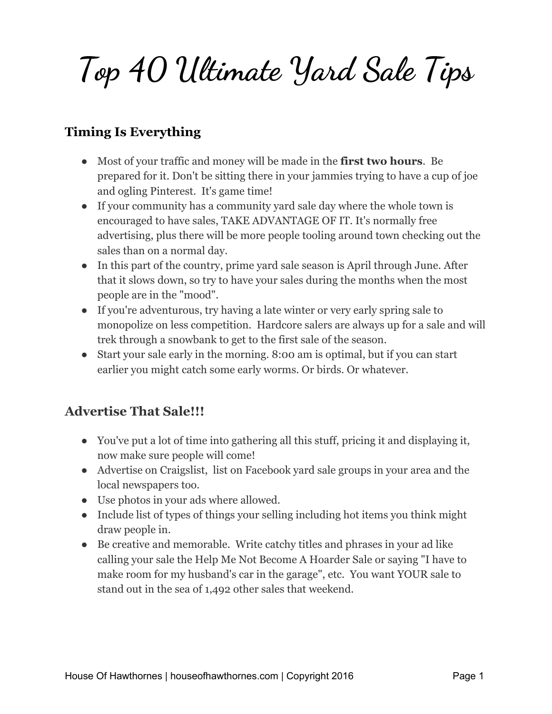**Top 40 Ultimate Yard Sale Tips**

#### **Timing Is Everything**

- Most of your traffic and money will be made in the **first two hours**. Be prepared for it. Don't be sitting there in your jammies trying to have a cup of joe and ogling Pinterest. It's game time!
- If your community has a community yard sale day where the whole town is encouraged to have sales, TAKE ADVANTAGE OF IT. It's normally free advertising, plus there will be more people tooling around town checking out the sales than on a normal day.
- In this part of the country, prime yard sale season is April through June. After that it slows down, so try to have your sales during the months when the most people are in the "mood".
- If you're adventurous, try having a late winter or very early spring sale to monopolize on less competition. Hardcore salers are always up for a sale and will trek through a snowbank to get to the first sale of the season.
- Start your sale early in the morning. 8:00 am is optimal, but if you can start earlier you might catch some early worms. Or birds. Or whatever.

#### **Advertise That Sale!!!**

- You've put a lot of time into gathering all this stuff, pricing it and displaying it, now make sure people will come!
- Advertise on Craigslist, list on Facebook yard sale groups in your area and the local newspapers too.
- Use photos in your ads where allowed.
- Include list of types of things your selling including hot items you think might draw people in.
- Be creative and memorable. Write catchy titles and phrases in your ad like calling your sale the Help Me Not Become A Hoarder Sale or saying "I have to make room for my husband's car in the garage", etc. You want YOUR sale to stand out in the sea of 1,492 other sales that weekend.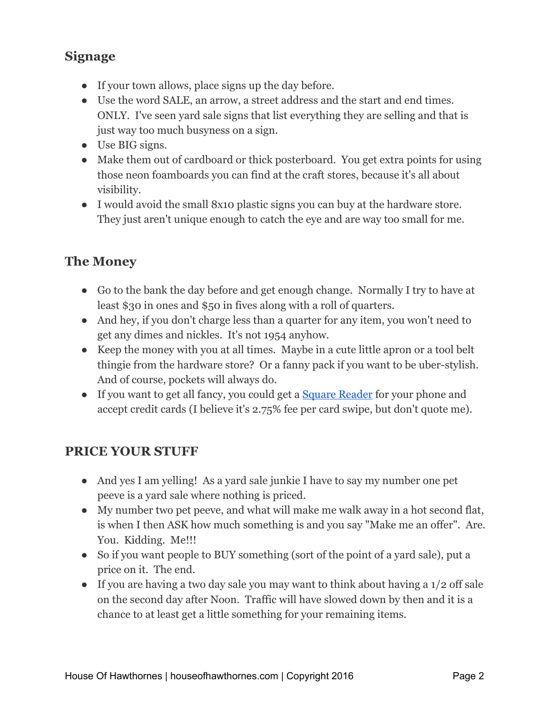### **Signage**

- If your town allows, place signs up the day before.
- Use the word SALE, an arrow, a street address and the start and end times. ONLY. I've seen yard sale signs that list everything they are selling and that is just way too much busyness on a sign.
- Use BIG signs.
- Make them out of cardboard or thick posterboard. You get extra points for using those neon foamboards you can find at the craft stores, because it's all about visibility.
- I would avoid the small 8x10 plastic signs you can buy at the hardware store. They just aren't unique enough to catch the eye and are way too small for me.

## **The Money**

- Go to the bank the day before and get enough change. Normally I try to have at least \$30 in ones and \$50 in fives along with a roll of quarters.
- And hey, if you don't charge less than a quarter for any item, you won't need to get any dimes and nickles. It's not 1954 anyhow.
- Keep the money with you at all times. Maybe in a cute little apron or a tool belt thingie from the hardware store? Or a fanny pack if you want to be uber-stylish. And of course, pockets will always do.
- If you want to get all fancy, you could get a [Square Reader](http://amzn.to/1T6I0Si) for your phone and accept credit cards (I believe it's 2.75% fee per card swipe, but don't quote me).

#### **PRICE YOUR STUFF**

- And yes I am yelling! As a yard sale junkie I have to say my number one pet peeve is a yard sale where nothing is priced.
- My number two pet peeve, and what will make me walk away in a hot second flat, is when I then ASK how much something is and you say "Make me an offer". Are. You. Kidding. Me!!!
- So if you want people to BUY something (sort of the point of a yard sale), put a price on it. The end.
- If you are having a two day sale you may want to think about having a 1/2 off sale on the second day after Noon. Traffic will have slowed down by then and it is a chance to at least get a little something for your remaining items.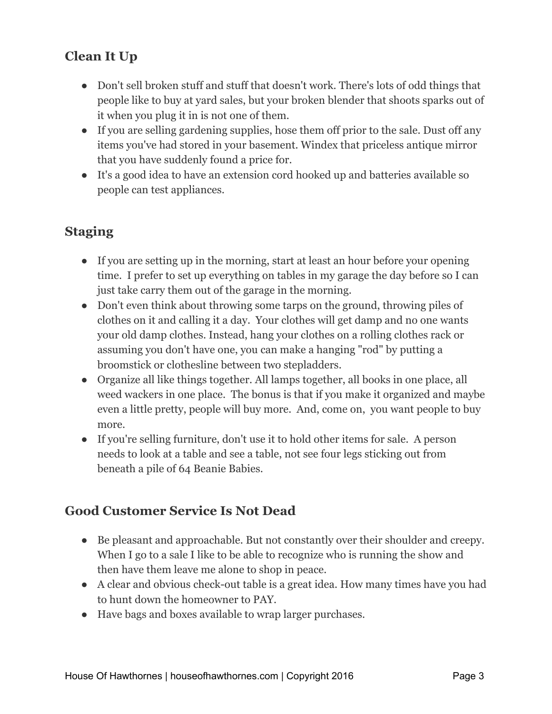# **Clean It Up**

- Don't sell broken stuff and stuff that doesn't work. There's lots of odd things that people like to buy at yard sales, but your broken blender that shoots sparks out of it when you plug it in is not one of them.
- If you are selling gardening supplies, hose them off prior to the sale. Dust off any items you've had stored in your basement. Windex that priceless antique mirror that you have suddenly found a price for.
- It's a good idea to have an extension cord hooked up and batteries available so people can test appliances.

### **Staging**

- If you are setting up in the morning, start at least an hour before your opening time. I prefer to set up everything on tables in my garage the day before so I can just take carry them out of the garage in the morning.
- Don't even think about throwing some tarps on the ground, throwing piles of clothes on it and calling it a day. Your clothes will get damp and no one wants your old damp clothes. Instead, hang your clothes on a rolling clothes rack or assuming you don't have one, you can make a hanging "rod" by putting a broomstick or clothesline between two stepladders.
- Organize all like things together. All lamps together, all books in one place, all weed wackers in one place. The bonus is that if you make it organized and maybe even a little pretty, people will buy more. And, come on, you want people to buy more.
- If you're selling furniture, don't use it to hold other items for sale. A person needs to look at a table and see a table, not see four legs sticking out from beneath a pile of 64 Beanie Babies.

#### **Good Customer Service Is Not Dead**

- Be pleasant and approachable. But not constantly over their shoulder and creepy. When I go to a sale I like to be able to recognize who is running the show and then have them leave me alone to shop in peace.
- A clear and obvious check-out table is a great idea. How many times have you had to hunt down the homeowner to PAY.
- Have bags and boxes available to wrap larger purchases.